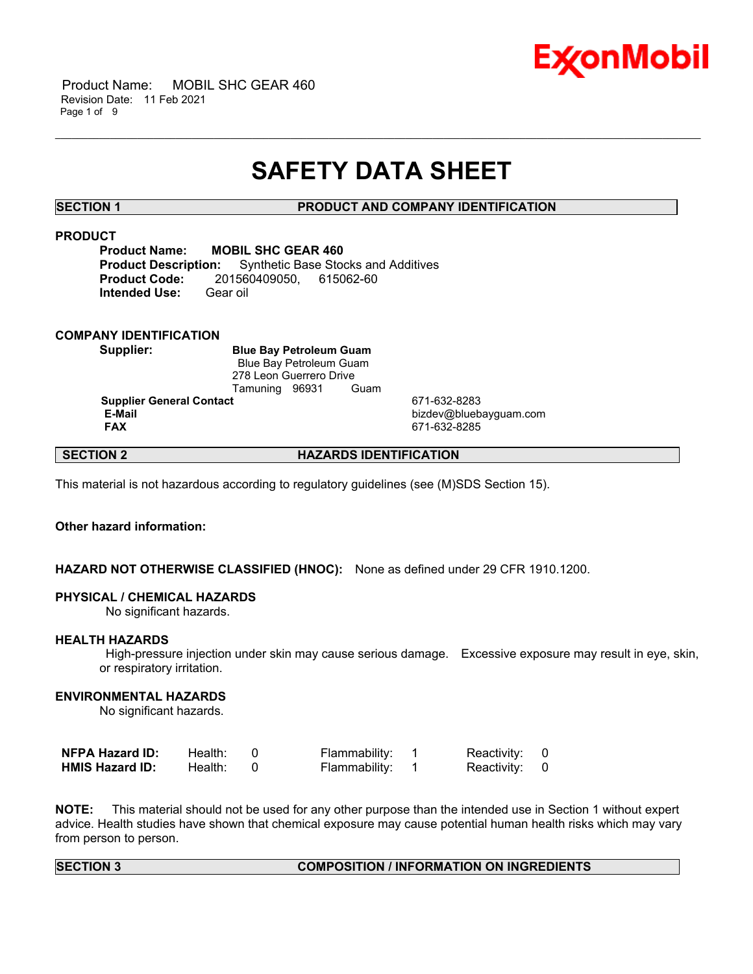

 Product Name: MOBIL SHC GEAR 460 Revision Date: 11 Feb 2021 Page 1 of 9

# **SAFETY DATA SHEET**

\_\_\_\_\_\_\_\_\_\_\_\_\_\_\_\_\_\_\_\_\_\_\_\_\_\_\_\_\_\_\_\_\_\_\_\_\_\_\_\_\_\_\_\_\_\_\_\_\_\_\_\_\_\_\_\_\_\_\_\_\_\_\_\_\_\_\_\_\_\_\_\_\_\_\_\_\_\_\_\_\_\_\_\_\_\_\_\_\_\_\_\_\_\_\_\_\_\_\_\_\_\_\_\_\_\_\_\_\_\_\_\_\_\_\_\_\_\_

# **SECTION 1 PRODUCT AND COMPANY IDENTIFICATION**

# **PRODUCT**

**Product Name: MOBIL SHC GEAR 460 Product Description:** Synthetic Base Stocks and Additives **Product Code:** 201560409050, 615062-60 **Intended Use:** Gear oil

# **COMPANY IDENTIFICATION**

**Supplier: Blue Bay Petroleum Guam** Blue Bay Petroleum Guam 278 Leon Guerrero Drive Tamuning 96931 Guam

**Supplier General Contact** 671-632-8283<br> **E-Mail** bizdev@blueb

 **E-Mail** bizdev@bluebayguam.com  **FAX** 671-632-8285

# **SECTION 2 HAZARDS IDENTIFICATION**

This material is not hazardous according to regulatory guidelines (see (M)SDS Section 15).

# **Other hazard information:**

# **HAZARD NOT OTHERWISE CLASSIFIED (HNOC):** None as defined under 29 CFR 1910.1200.

### **PHYSICAL / CHEMICAL HAZARDS**

No significant hazards.

### **HEALTH HAZARDS**

 High-pressure injection under skin may cause serious damage. Excessive exposure may result in eye, skin, or respiratory irritation.

# **ENVIRONMENTAL HAZARDS**

No significant hazards.

| NFPA Hazard ID:        | Health: | Flammability: | Reactivity: 0 |  |
|------------------------|---------|---------------|---------------|--|
| <b>HMIS Hazard ID:</b> | Health: | Flammability: | Reactivity: 0 |  |

**NOTE:** This material should not be used for any other purpose than the intended use in Section 1 without expert advice. Health studies have shown that chemical exposure may cause potential human health risks which may vary from person to person.

# **SECTION 3 COMPOSITION / INFORMATION ON INGREDIENTS**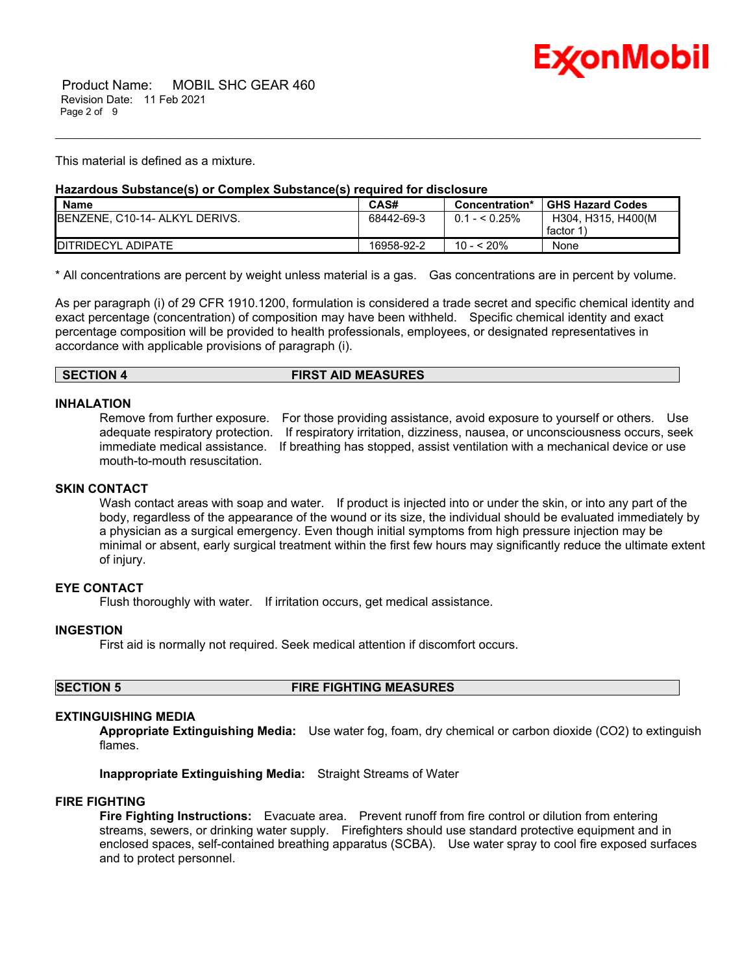

This material is defined as a mixture.

# **Hazardous Substance(s) or Complex Substance(s) required for disclosure**

| <b>Name</b>                            | CAS#       | Concentration*  | <b>GHS Hazard Codes</b> |
|----------------------------------------|------------|-----------------|-------------------------|
| <b>IBENZENE, C10-14- ALKYL DERIVS.</b> | 68442-69-3 | $0.1 -  0.25\%$ | H304. H315. H400(M      |
|                                        |            |                 | factor 1                |
| <b>IDITRIDECYL ADIPATE</b>             | 16958-92-2 | 10 - < 20%      | None                    |

\_\_\_\_\_\_\_\_\_\_\_\_\_\_\_\_\_\_\_\_\_\_\_\_\_\_\_\_\_\_\_\_\_\_\_\_\_\_\_\_\_\_\_\_\_\_\_\_\_\_\_\_\_\_\_\_\_\_\_\_\_\_\_\_\_\_\_\_\_\_\_\_\_\_\_\_\_\_\_\_\_\_\_\_\_\_\_\_\_\_\_\_\_\_\_\_\_\_\_\_\_\_\_\_\_\_\_\_\_\_\_\_\_\_\_\_\_\_

\* All concentrations are percent by weight unless material is a gas. Gas concentrations are in percent by volume.

As per paragraph (i) of 29 CFR 1910.1200, formulation is considered a trade secret and specific chemical identity and exact percentage (concentration) of composition may have been withheld. Specific chemical identity and exact percentage composition will be provided to health professionals, employees, or designated representatives in accordance with applicable provisions of paragraph (i).

# **SECTION 4 FIRST AID MEASURES**

### **INHALATION**

Remove from further exposure. For those providing assistance, avoid exposure to yourself or others. Use adequate respiratory protection. If respiratory irritation, dizziness, nausea, or unconsciousness occurs, seek immediate medical assistance. If breathing has stopped, assist ventilation with a mechanical device or use mouth-to-mouth resuscitation.

# **SKIN CONTACT**

Wash contact areas with soap and water. If product is injected into or under the skin, or into any part of the body, regardless of the appearance of the wound or its size, the individual should be evaluated immediately by a physician as a surgical emergency. Even though initial symptoms from high pressure injection may be minimal or absent, early surgical treatment within the first few hours may significantly reduce the ultimate extent of injury.

# **EYE CONTACT**

Flush thoroughly with water. If irritation occurs, get medical assistance.

# **INGESTION**

First aid is normally not required. Seek medical attention if discomfort occurs.

**SECTION 5 FIRE FIGHTING MEASURES**

# **EXTINGUISHING MEDIA**

**Appropriate Extinguishing Media:** Use water fog, foam, dry chemical or carbon dioxide (CO2) to extinguish flames.

**Inappropriate Extinguishing Media:** Straight Streams of Water

### **FIRE FIGHTING**

**Fire Fighting Instructions:** Evacuate area. Prevent runoff from fire control or dilution from entering streams, sewers, or drinking water supply. Firefighters should use standard protective equipment and in enclosed spaces, self-contained breathing apparatus (SCBA). Use water spray to cool fire exposed surfaces and to protect personnel.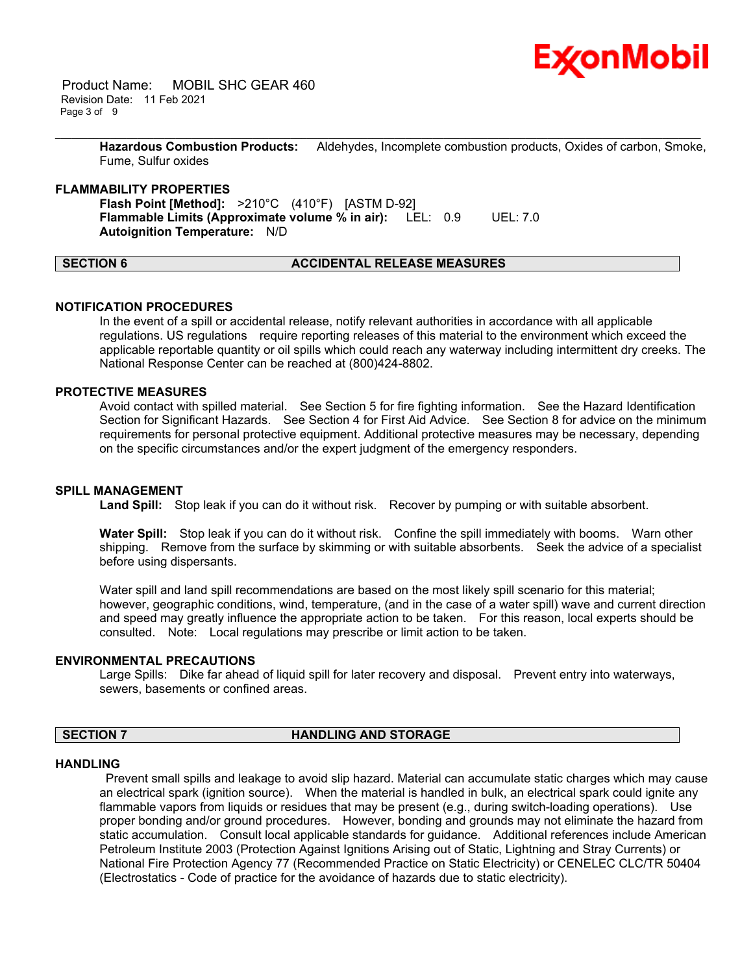

 Product Name: MOBIL SHC GEAR 460 Revision Date: 11 Feb 2021 Page 3 of 9

> **Hazardous Combustion Products:** Aldehydes, Incomplete combustion products, Oxides of carbon, Smoke, Fume, Sulfur oxides

\_\_\_\_\_\_\_\_\_\_\_\_\_\_\_\_\_\_\_\_\_\_\_\_\_\_\_\_\_\_\_\_\_\_\_\_\_\_\_\_\_\_\_\_\_\_\_\_\_\_\_\_\_\_\_\_\_\_\_\_\_\_\_\_\_\_\_\_\_\_\_\_\_\_\_\_\_\_\_\_\_\_\_\_\_\_\_\_\_\_\_\_\_\_\_\_\_\_\_\_\_\_\_\_\_\_\_\_\_\_\_\_\_\_\_\_\_\_

# **FLAMMABILITY PROPERTIES**

**Flash Point [Method]:** >210°C (410°F) [ASTM D-92] **Flammable Limits (Approximate volume % in air):** LEL: 0.9 UEL: 7.0 **Autoignition Temperature:** N/D

# **SECTION 6 ACCIDENTAL RELEASE MEASURES**

### **NOTIFICATION PROCEDURES**

In the event of a spill or accidental release, notify relevant authorities in accordance with all applicable regulations. US regulations require reporting releases of this material to the environment which exceed the applicable reportable quantity or oil spills which could reach any waterway including intermittent dry creeks. The National Response Center can be reached at (800)424-8802.

# **PROTECTIVE MEASURES**

Avoid contact with spilled material. See Section 5 for fire fighting information. See the Hazard Identification Section for Significant Hazards. See Section 4 for First Aid Advice. See Section 8 for advice on the minimum requirements for personal protective equipment. Additional protective measures may be necessary, depending on the specific circumstances and/or the expert judgment of the emergency responders.

### **SPILL MANAGEMENT**

Land Spill: Stop leak if you can do it without risk. Recover by pumping or with suitable absorbent.

**Water Spill:** Stop leak if you can do it without risk. Confine the spill immediately with booms. Warn other shipping. Remove from the surface by skimming or with suitable absorbents. Seek the advice of a specialist before using dispersants.

Water spill and land spill recommendations are based on the most likely spill scenario for this material; however, geographic conditions, wind, temperature, (and in the case of a water spill) wave and current direction and speed may greatly influence the appropriate action to be taken. For this reason, local experts should be consulted. Note: Local regulations may prescribe or limit action to be taken.

#### **ENVIRONMENTAL PRECAUTIONS**

Large Spills: Dike far ahead of liquid spill for later recovery and disposal. Prevent entry into waterways, sewers, basements or confined areas.

### **SECTION 7 HANDLING AND STORAGE**

#### **HANDLING**

 Prevent small spills and leakage to avoid slip hazard. Material can accumulate static charges which may cause an electrical spark (ignition source). When the material is handled in bulk, an electrical spark could ignite any flammable vapors from liquids or residues that may be present (e.g., during switch-loading operations). Use proper bonding and/or ground procedures. However, bonding and grounds may not eliminate the hazard from static accumulation. Consult local applicable standards for guidance. Additional references include American Petroleum Institute 2003 (Protection Against Ignitions Arising out of Static, Lightning and Stray Currents) or National Fire Protection Agency 77 (Recommended Practice on Static Electricity) or CENELEC CLC/TR 50404 (Electrostatics - Code of practice for the avoidance of hazards due to static electricity).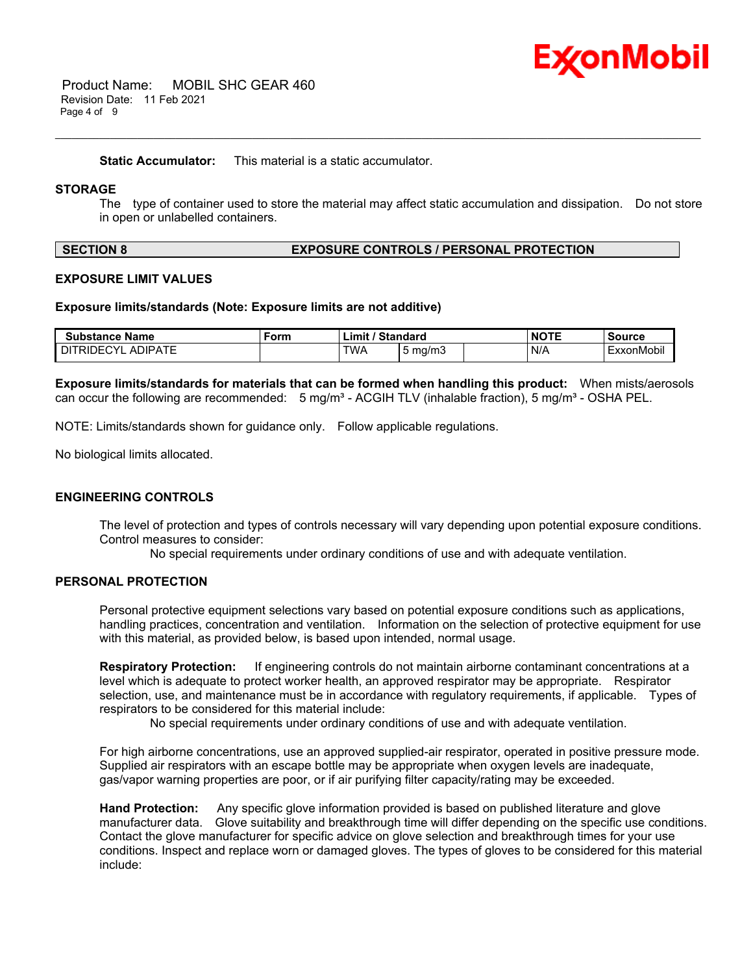

 Product Name: MOBIL SHC GEAR 460 Revision Date: 11 Feb 2021 Page 4 of 9

**Static Accumulator:** This material is a static accumulator.

# **STORAGE**

The type of container used to store the material may affect static accumulation and dissipation. Do not store in open or unlabelled containers.

\_\_\_\_\_\_\_\_\_\_\_\_\_\_\_\_\_\_\_\_\_\_\_\_\_\_\_\_\_\_\_\_\_\_\_\_\_\_\_\_\_\_\_\_\_\_\_\_\_\_\_\_\_\_\_\_\_\_\_\_\_\_\_\_\_\_\_\_\_\_\_\_\_\_\_\_\_\_\_\_\_\_\_\_\_\_\_\_\_\_\_\_\_\_\_\_\_\_\_\_\_\_\_\_\_\_\_\_\_\_\_\_\_\_\_\_\_\_

# **SECTION 8 EXPOSURE CONTROLS / PERSONAL PROTECTION**

### **EXPOSURE LIMIT VALUES**

#### **Exposure limits/standards (Note: Exposure limits are not additive)**

| <b>Substance Name</b>               | Form | / Standard<br>$\mathsf{Limit}'$ |                  | <b>NOTE</b> | <b>Source</b> |
|-------------------------------------|------|---------------------------------|------------------|-------------|---------------|
| <b>ADIPATE</b><br><b>DITRIDECYL</b> |      | <b>TWA</b>                      | $5 \text{ ma/m}$ | N/A         | ExxonMobil    |

**Exposure limits/standards for materials that can be formed when handling this product:** When mists/aerosols can occur the following are recommended:  $5 \text{ mg/m}^3$  - ACGIH TLV (inhalable fraction),  $5 \text{ mg/m}^3$  - OSHA PEL.

NOTE: Limits/standards shown for guidance only. Follow applicable regulations.

No biological limits allocated.

### **ENGINEERING CONTROLS**

The level of protection and types of controls necessary will vary depending upon potential exposure conditions. Control measures to consider:

No special requirements under ordinary conditions of use and with adequate ventilation.

# **PERSONAL PROTECTION**

Personal protective equipment selections vary based on potential exposure conditions such as applications, handling practices, concentration and ventilation. Information on the selection of protective equipment for use with this material, as provided below, is based upon intended, normal usage.

**Respiratory Protection:** If engineering controls do not maintain airborne contaminant concentrations at a level which is adequate to protect worker health, an approved respirator may be appropriate. Respirator selection, use, and maintenance must be in accordance with regulatory requirements, if applicable. Types of respirators to be considered for this material include:

No special requirements under ordinary conditions of use and with adequate ventilation.

For high airborne concentrations, use an approved supplied-air respirator, operated in positive pressure mode. Supplied air respirators with an escape bottle may be appropriate when oxygen levels are inadequate, gas/vapor warning properties are poor, or if air purifying filter capacity/rating may be exceeded.

**Hand Protection:** Any specific glove information provided is based on published literature and glove manufacturer data. Glove suitability and breakthrough time will differ depending on the specific use conditions. Contact the glove manufacturer for specific advice on glove selection and breakthrough times for your use conditions. Inspect and replace worn or damaged gloves. The types of gloves to be considered for this material include: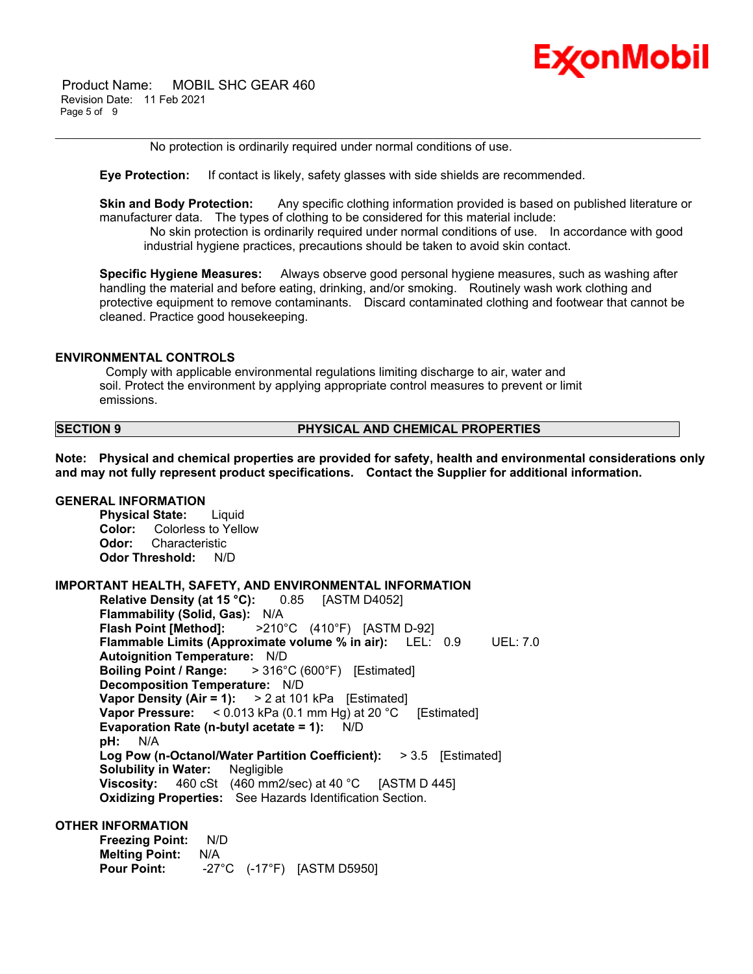

 Product Name: MOBIL SHC GEAR 460 Revision Date: 11 Feb 2021 Page 5 of 9

No protection is ordinarily required under normal conditions of use.

**Eye Protection:** If contact is likely, safety glasses with side shields are recommended.

**Skin and Body Protection:** Any specific clothing information provided is based on published literature or manufacturer data. The types of clothing to be considered for this material include:

\_\_\_\_\_\_\_\_\_\_\_\_\_\_\_\_\_\_\_\_\_\_\_\_\_\_\_\_\_\_\_\_\_\_\_\_\_\_\_\_\_\_\_\_\_\_\_\_\_\_\_\_\_\_\_\_\_\_\_\_\_\_\_\_\_\_\_\_\_\_\_\_\_\_\_\_\_\_\_\_\_\_\_\_\_\_\_\_\_\_\_\_\_\_\_\_\_\_\_\_\_\_\_\_\_\_\_\_\_\_\_\_\_\_\_\_\_\_

 No skin protection is ordinarily required under normal conditions of use. In accordance with good industrial hygiene practices, precautions should be taken to avoid skin contact.

**Specific Hygiene Measures:** Always observe good personal hygiene measures, such as washing after handling the material and before eating, drinking, and/or smoking. Routinely wash work clothing and protective equipment to remove contaminants. Discard contaminated clothing and footwear that cannot be cleaned. Practice good housekeeping.

### **ENVIRONMENTAL CONTROLS**

 Comply with applicable environmental regulations limiting discharge to air, water and soil. Protect the environment by applying appropriate control measures to prevent or limit emissions.

### **SECTION 9 PHYSICAL AND CHEMICAL PROPERTIES**

**Note: Physical and chemical properties are provided for safety, health and environmental considerations only and may not fully represent product specifications. Contact the Supplier for additional information.**

# **GENERAL INFORMATION**

**Physical State:** Liquid **Color:** Colorless to Yellow **Odor:** Characteristic **Odor Threshold:** N/D

### **IMPORTANT HEALTH, SAFETY, AND ENVIRONMENTAL INFORMATION**

**Relative Density (at 15 °C):** 0.85 [ASTM D4052] **Flammability (Solid, Gas):** N/A **Flash Point [Method]:** >210°C (410°F) [ASTM D-92] **Flammable Limits (Approximate volume % in air):** LEL: 0.9 UEL: 7.0 **Autoignition Temperature:** N/D **Boiling Point / Range:** > 316°C (600°F) [Estimated] **Decomposition Temperature:** N/D **Vapor Density (Air = 1):** > 2 at 101 kPa [Estimated] **Vapor Pressure:** < 0.013 kPa (0.1 mm Hg) at 20 °C [Estimated] **Evaporation Rate (n-butyl acetate = 1):** N/D **pH:** N/A **Log Pow (n-Octanol/Water Partition Coefficient):** > 3.5 [Estimated] **Solubility in Water:** Negligible **Viscosity:** 460 cSt (460 mm2/sec) at 40 °C [ASTM D 445] **Oxidizing Properties:** See Hazards Identification Section.

### **OTHER INFORMATION**

**Freezing Point:** N/D **Melting Point:** N/A **Pour Point:** -27°C (-17°F) [ASTM D5950]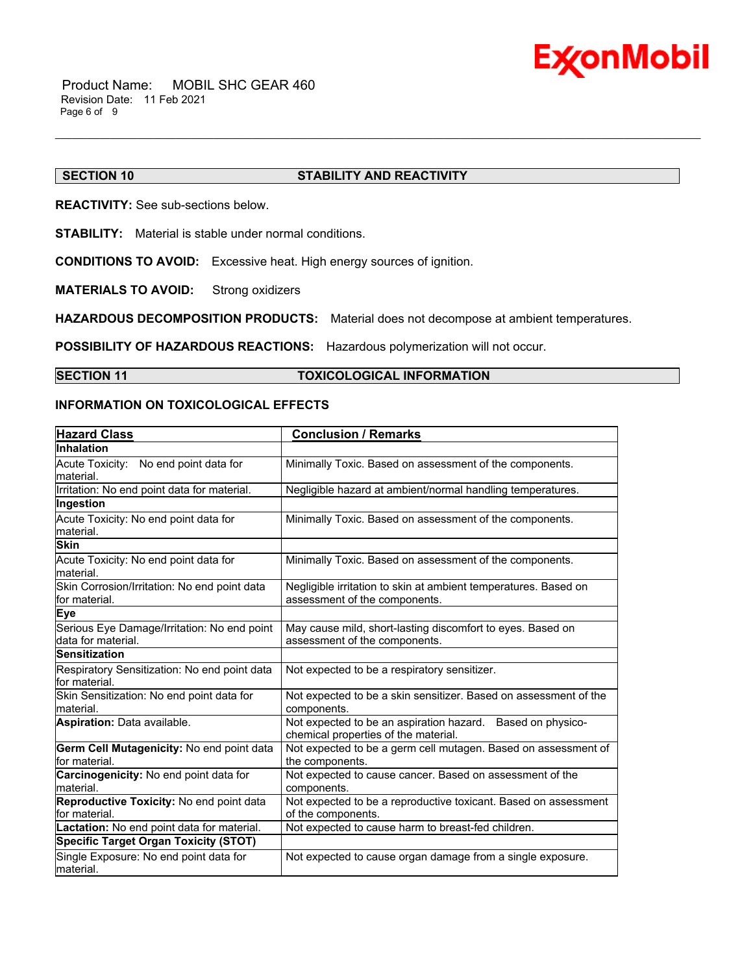

# **SECTION 10 STABILITY AND REACTIVITY**

**REACTIVITY:** See sub-sections below.

**STABILITY:** Material is stable under normal conditions.

**CONDITIONS TO AVOID:** Excessive heat. High energy sources of ignition.

**MATERIALS TO AVOID:** Strong oxidizers

**HAZARDOUS DECOMPOSITION PRODUCTS:** Material does not decompose at ambient temperatures.

**POSSIBILITY OF HAZARDOUS REACTIONS:** Hazardous polymerization will not occur.

# **SECTION 11 TOXICOLOGICAL INFORMATION**

\_\_\_\_\_\_\_\_\_\_\_\_\_\_\_\_\_\_\_\_\_\_\_\_\_\_\_\_\_\_\_\_\_\_\_\_\_\_\_\_\_\_\_\_\_\_\_\_\_\_\_\_\_\_\_\_\_\_\_\_\_\_\_\_\_\_\_\_\_\_\_\_\_\_\_\_\_\_\_\_\_\_\_\_\_\_\_\_\_\_\_\_\_\_\_\_\_\_\_\_\_\_\_\_\_\_\_\_\_\_\_\_\_\_\_\_\_\_

# **INFORMATION ON TOXICOLOGICAL EFFECTS**

| <b>Hazard Class</b>                                               | <b>Conclusion / Remarks</b>                                                                        |
|-------------------------------------------------------------------|----------------------------------------------------------------------------------------------------|
| <b>Inhalation</b>                                                 |                                                                                                    |
| Acute Toxicity: No end point data for<br>lmaterial.               | Minimally Toxic. Based on assessment of the components.                                            |
| Irritation: No end point data for material.                       | Negligible hazard at ambient/normal handling temperatures.                                         |
| Ingestion                                                         |                                                                                                    |
| Acute Toxicity: No end point data for<br>material.                | Minimally Toxic. Based on assessment of the components.                                            |
| <b>Skin</b>                                                       |                                                                                                    |
| Acute Toxicity: No end point data for<br>lmaterial.               | Minimally Toxic. Based on assessment of the components.                                            |
| Skin Corrosion/Irritation: No end point data<br>for material.     | Negligible irritation to skin at ambient temperatures. Based on<br>assessment of the components.   |
| Eye                                                               |                                                                                                    |
| Serious Eye Damage/Irritation: No end point<br>data for material. | May cause mild, short-lasting discomfort to eyes. Based on<br>assessment of the components.        |
| <b>Sensitization</b>                                              |                                                                                                    |
| Respiratory Sensitization: No end point data<br>for material.     | Not expected to be a respiratory sensitizer.                                                       |
| Skin Sensitization: No end point data for<br>lmaterial.           | Not expected to be a skin sensitizer. Based on assessment of the<br>components.                    |
| <b>Aspiration: Data available.</b>                                | Not expected to be an aspiration hazard. Based on physico-<br>chemical properties of the material. |
| Germ Cell Mutagenicity: No end point data<br>for material.        | Not expected to be a germ cell mutagen. Based on assessment of<br>the components.                  |
| Carcinogenicity: No end point data for<br>material.               | Not expected to cause cancer. Based on assessment of the<br>components.                            |
| Reproductive Toxicity: No end point data<br>lfor material.        | Not expected to be a reproductive toxicant. Based on assessment<br>of the components.              |
| Lactation: No end point data for material.                        | Not expected to cause harm to breast-fed children.                                                 |
| <b>Specific Target Organ Toxicity (STOT)</b>                      |                                                                                                    |
| Single Exposure: No end point data for<br>material.               | Not expected to cause organ damage from a single exposure.                                         |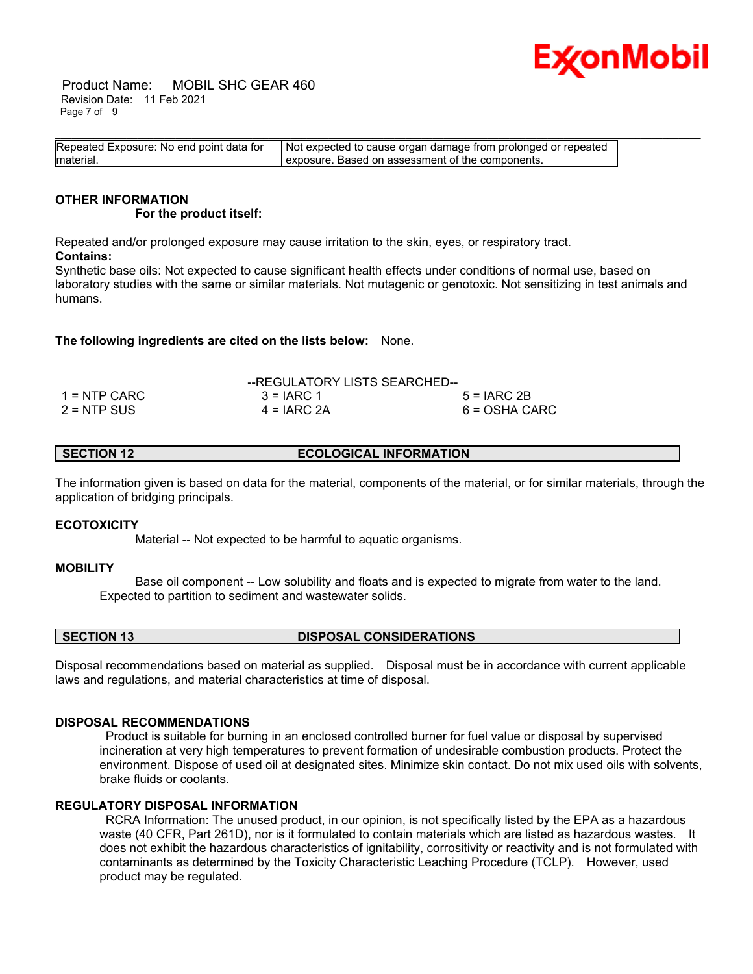

 Product Name: MOBIL SHC GEAR 460 Revision Date: 11 Feb 2021 Page 7 of 9

| Repeated Exposure: No end point data for | Not expected to cause organ damage from prolonged or repeated |
|------------------------------------------|---------------------------------------------------------------|
| material.                                | I exposure. Based on assessment of the components.            |

#### **OTHER INFORMATION For the product itself:**

Repeated and/or prolonged exposure may cause irritation to the skin, eyes, or respiratory tract. **Contains:**

Synthetic base oils: Not expected to cause significant health effects under conditions of normal use, based on laboratory studies with the same or similar materials. Not mutagenic or genotoxic. Not sensitizing in test animals and humans.

**The following ingredients are cited on the lists below:** None.

|               | --REGULATORY LISTS SEARCHED-- |               |
|---------------|-------------------------------|---------------|
| 1 = NTP CARC  | $3 = IARC 1$                  | $5 = IARC2B$  |
| $2 = NTP$ SUS | $4 = IARC 2A$                 | 6 = OSHA CARC |

**SECTION 12 ECOLOGICAL INFORMATION** 

The information given is based on data for the material, components of the material, or for similar materials, through the application of bridging principals.

# **ECOTOXICITY**

Material -- Not expected to be harmful to aquatic organisms.

# **MOBILITY**

 Base oil component -- Low solubility and floats and is expected to migrate from water to the land. Expected to partition to sediment and wastewater solids.

**SECTION 13 DISPOSAL CONSIDERATIONS** 

Disposal recommendations based on material as supplied. Disposal must be in accordance with current applicable laws and regulations, and material characteristics at time of disposal.

### **DISPOSAL RECOMMENDATIONS**

 Product is suitable for burning in an enclosed controlled burner for fuel value or disposal by supervised incineration at very high temperatures to prevent formation of undesirable combustion products. Protect the environment. Dispose of used oil at designated sites. Minimize skin contact. Do not mix used oils with solvents, brake fluids or coolants.

# **REGULATORY DISPOSAL INFORMATION**

 RCRA Information: The unused product, in our opinion, is not specifically listed by the EPA as a hazardous waste (40 CFR, Part 261D), nor is it formulated to contain materials which are listed as hazardous wastes. It does not exhibit the hazardous characteristics of ignitability, corrositivity or reactivity and is not formulated with contaminants as determined by the Toxicity Characteristic Leaching Procedure (TCLP). However, used product may be regulated.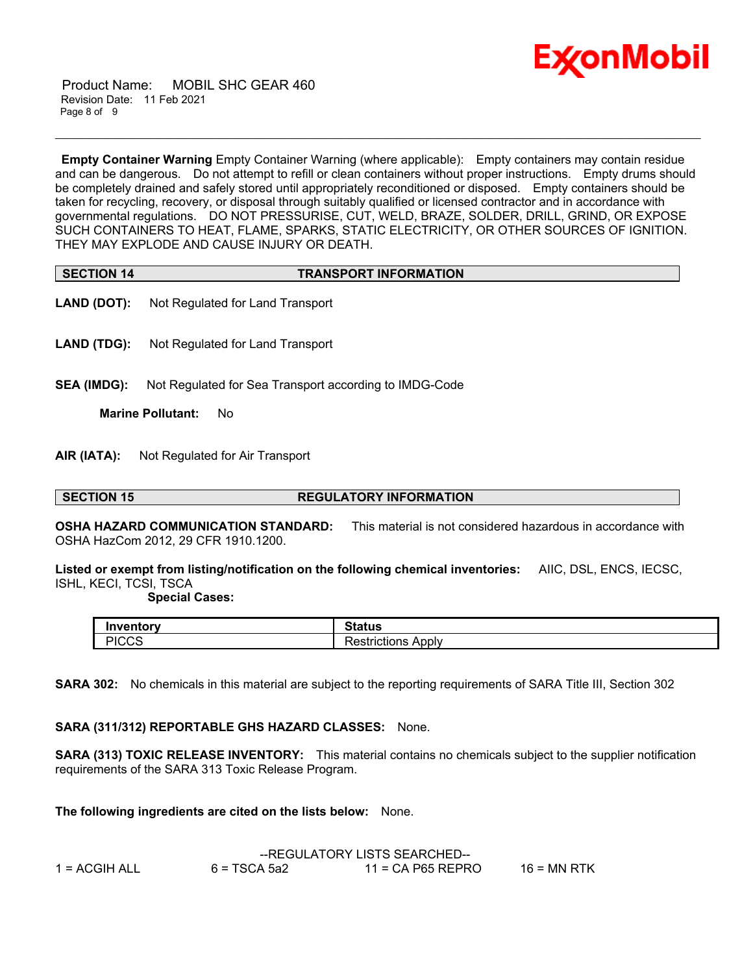

 Product Name: MOBIL SHC GEAR 460 Revision Date: 11 Feb 2021 Page 8 of 9

**Empty Container Warning** Empty Container Warning (where applicable): Empty containers may contain residue and can be dangerous. Do not attempt to refill or clean containers without proper instructions. Empty drums should be completely drained and safely stored until appropriately reconditioned or disposed. Empty containers should be taken for recycling, recovery, or disposal through suitably qualified or licensed contractor and in accordance with governmental regulations. DO NOT PRESSURISE, CUT, WELD, BRAZE, SOLDER, DRILL, GRIND, OR EXPOSE SUCH CONTAINERS TO HEAT, FLAME, SPARKS, STATIC ELECTRICITY, OR OTHER SOURCES OF IGNITION. THEY MAY EXPLODE AND CAUSE INJURY OR DEATH.

\_\_\_\_\_\_\_\_\_\_\_\_\_\_\_\_\_\_\_\_\_\_\_\_\_\_\_\_\_\_\_\_\_\_\_\_\_\_\_\_\_\_\_\_\_\_\_\_\_\_\_\_\_\_\_\_\_\_\_\_\_\_\_\_\_\_\_\_\_\_\_\_\_\_\_\_\_\_\_\_\_\_\_\_\_\_\_\_\_\_\_\_\_\_\_\_\_\_\_\_\_\_\_\_\_\_\_\_\_\_\_\_\_\_\_\_\_\_

| <b>SECTION 14</b> | <b>TRANSPORT INFORMATION</b> |
|-------------------|------------------------------|

- **LAND (DOT):** Not Regulated for Land Transport
- **LAND (TDG):** Not Regulated for Land Transport
- **SEA (IMDG):** Not Regulated for Sea Transport according to IMDG-Code

**Marine Pollutant:** No

**AIR (IATA):** Not Regulated for Air Transport

### **SECTION 15 REGULATORY INFORMATION**

**OSHA HAZARD COMMUNICATION STANDARD:** This material is not considered hazardous in accordance with OSHA HazCom 2012, 29 CFR 1910.1200.

**Listed or exempt from listing/notification on the following chemical inventories:** AIIC, DSL, ENCS, IECSC, ISHL, KECI, TCSI, TSCA

### **Special Cases:**

| Inventorv<br>rv       | Status                                |
|-----------------------|---------------------------------------|
| <b>DICCC</b><br>יו∪∪∴ | -<br>Apply<br>.ctrictions<br>rictions |

**SARA 302:** No chemicals in this material are subject to the reporting requirements of SARA Title III, Section 302

# **SARA (311/312) REPORTABLE GHS HAZARD CLASSES:** None.

**SARA (313) TOXIC RELEASE INVENTORY:** This material contains no chemicals subject to the supplier notification requirements of the SARA 313 Toxic Release Program.

**The following ingredients are cited on the lists below:** None.

|               | --REGULATORY LISTS SEARCHED-- |                     |               |
|---------------|-------------------------------|---------------------|---------------|
| 1 = ACGIH ALL | $6 = TSCA 5a2$                | $11$ = CA P65 REPRO | $16$ = MN RTK |